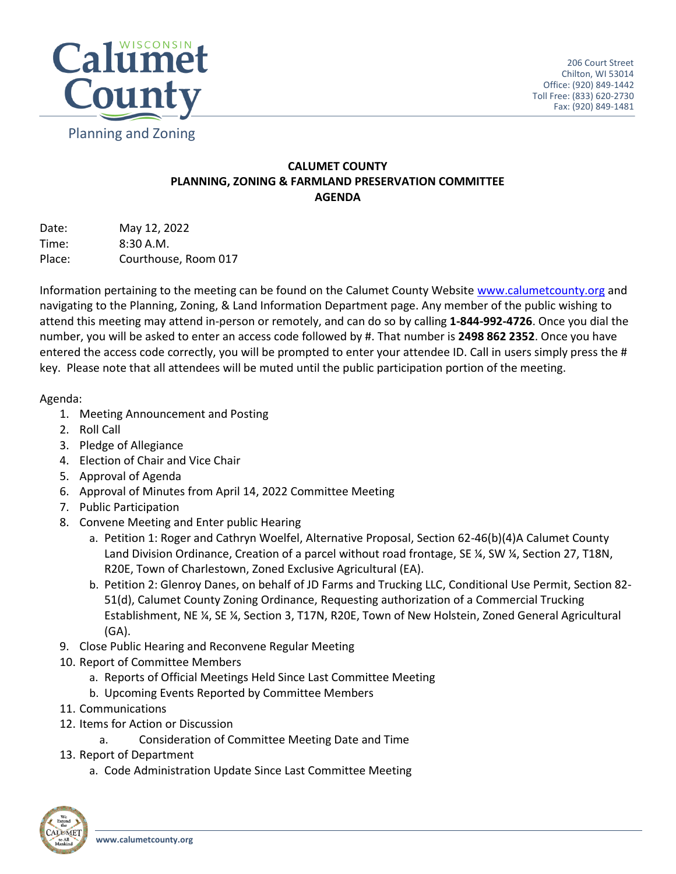

## **CALUMET COUNTY PLANNING, ZONING & FARMLAND PRESERVATION COMMITTEE AGENDA**

Date: May 12, 2022 Time: 8:30 A.M. Place: Courthouse, Room 017

Information pertaining to the meeting can be found on the Calumet County Website [www.calumetcounty.org](http://www.calumetcounty.org/) and navigating to the Planning, Zoning, & Land Information Department page. Any member of the public wishing to attend this meeting may attend in-person or remotely, and can do so by calling **1-844-992-4726**. Once you dial the number, you will be asked to enter an access code followed by #. That number is **2498 862 2352**. Once you have entered the access code correctly, you will be prompted to enter your attendee ID. Call in users simply press the # key. Please note that all attendees will be muted until the public participation portion of the meeting.

## Agenda:

- 1. Meeting Announcement and Posting
- 2. Roll Call
- 3. Pledge of Allegiance
- 4. Election of Chair and Vice Chair
- 5. Approval of Agenda
- 6. Approval of Minutes from April 14, 2022 Committee Meeting
- 7. Public Participation
- 8. Convene Meeting and Enter public Hearing
	- a. Petition 1: Roger and Cathryn Woelfel, Alternative Proposal, Section 62-46(b)(4)A Calumet County Land Division Ordinance, Creation of a parcel without road frontage, SE ¼, SW ¼, Section 27, T18N, R20E, Town of Charlestown, Zoned Exclusive Agricultural (EA).
	- b. Petition 2: Glenroy Danes, on behalf of JD Farms and Trucking LLC, Conditional Use Permit, Section 82- 51(d), Calumet County Zoning Ordinance, Requesting authorization of a Commercial Trucking Establishment, NE ¼, SE ¼, Section 3, T17N, R20E, Town of New Holstein, Zoned General Agricultural (GA).
- 9. Close Public Hearing and Reconvene Regular Meeting
- 10. Report of Committee Members
	- a. Reports of Official Meetings Held Since Last Committee Meeting
	- b. Upcoming Events Reported by Committee Members
- 11. Communications
- 12. Items for Action or Discussion
	- a. Consideration of Committee Meeting Date and Time
- 13. Report of Department
	- a. Code Administration Update Since Last Committee Meeting